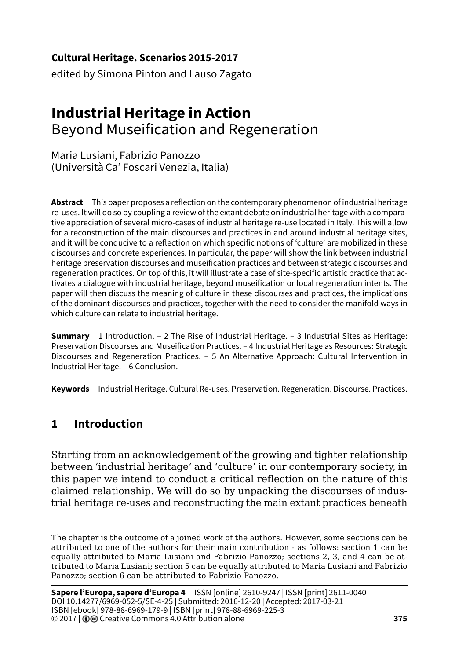**Cultural Heritage. Scenarios 2015-2017**

edited by Simona Pinton and Lauso Zagato

# **Industrial Heritage in Action** Beyond Museification and Regeneration

Maria Lusiani, Fabrizio Panozzo (Università Ca' Foscari Venezia, Italia)

**Abstract** This paper proposes a reflection on the contemporary phenomenon of industrial heritage re-uses. It will do so by coupling a review of the extant debate on industrial heritage with a comparative appreciation of several micro-cases of industrial heritage re-use located in Italy. This will allow for a reconstruction of the main discourses and practices in and around industrial heritage sites, and it will be conducive to a reflection on which specific notions of 'culture' are mobilized in these discourses and concrete experiences. In particular, the paper will show the link between industrial heritage preservation discourses and museification practices and between strategic discourses and regeneration practices. On top of this, it will illustrate a case of site-specific artistic practice that activates a dialogue with industrial heritage, beyond museification or local regeneration intents. The paper will then discuss the meaning of culture in these discourses and practices, the implications of the dominant discourses and practices, together with the need to consider the manifold ways in which culture can relate to industrial heritage.

**Summary** 1 Introduction. – 2 The Rise of Industrial Heritage. – 3 Industrial Sites as Heritage: Preservation Discourses and Museification Practices. – 4 Industrial Heritage as Resources: Strategic Discourses and Regeneration Practices. – 5 An Alternative Approach: Cultural Intervention in Industrial Heritage. – 6 Conclusion.

**Keywords** Industrial Heritage. Cultural Re-uses. Preservation. Regeneration. Discourse. Practices.

## **1 Introduction**

Starting from an acknowledgement of the growing and tighter relationship between 'industrial heritage' and 'culture' in our contemporary society, in this paper we intend to conduct a critical reflection on the nature of this claimed relationship. We will do so by unpacking the discourses of industrial heritage re-uses and reconstructing the main extant practices beneath

The chapter is the outcome of a joined work of the authors. However, some sections can be attributed to one of the authors for their main contribution - as follows: section 1 can be equally attributed to Maria Lusiani and Fabrizio Panozzo; sections 2, 3, and 4 can be attributed to Maria Lusiani; section 5 can be equally attributed to Maria Lusiani and Fabrizio Panozzo; section 6 can be attributed to Fabrizio Panozzo.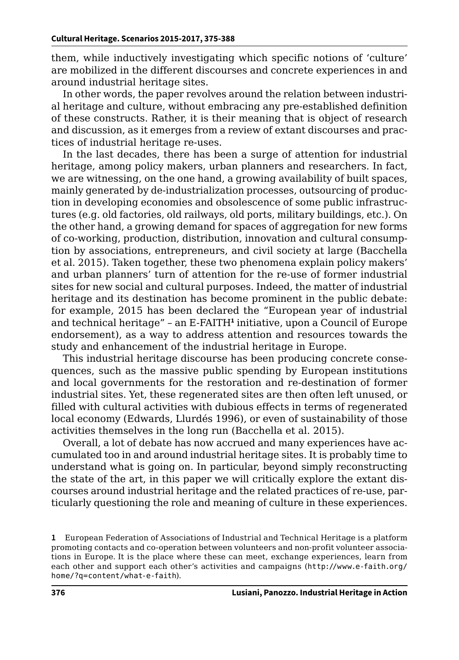them, while inductively investigating which specific notions of 'culture' are mobilized in the different discourses and concrete experiences in and around industrial heritage sites.

In other words, the paper revolves around the relation between industrial heritage and culture, without embracing any pre-established definition of these constructs. Rather, it is their meaning that is object of research and discussion, as it emerges from a review of extant discourses and practices of industrial heritage re-uses.

In the last decades, there has been a surge of attention for industrial heritage, among policy makers, urban planners and researchers. In fact, we are witnessing, on the one hand, a growing availability of built spaces, mainly generated by de-industrialization processes, outsourcing of production in developing economies and obsolescence of some public infrastructures (e.g. old factories, old railways, old ports, military buildings, etc.). On the other hand, a growing demand for spaces of aggregation for new forms of co-working, production, distribution, innovation and cultural consumption by associations, entrepreneurs, and civil society at large (Bacchella et al. 2015). Taken together, these two phenomena explain policy makers' and urban planners' turn of attention for the re-use of former industrial sites for new social and cultural purposes. Indeed, the matter of industrial heritage and its destination has become prominent in the public debate: for example, 2015 has been declared the "European year of industrial and technical heritage" – an E-FAITH**<sup>1</sup>** initiative, upon a Council of Europe endorsement), as a way to address attention and resources towards the study and enhancement of the industrial heritage in Europe.

This industrial heritage discourse has been producing concrete consequences, such as the massive public spending by European institutions and local governments for the restoration and re-destination of former industrial sites. Yet, these regenerated sites are then often left unused, or filled with cultural activities with dubious effects in terms of regenerated local economy (Edwards, Llurdés 1996), or even of sustainability of those activities themselves in the long run (Bacchella et al. 2015).

Overall, a lot of debate has now accrued and many experiences have accumulated too in and around industrial heritage sites. It is probably time to understand what is going on. In particular, beyond simply reconstructing the state of the art, in this paper we will critically explore the extant discourses around industrial heritage and the related practices of re-use, particularly questioning the role and meaning of culture in these experiences.

**<sup>1</sup>** European Federation of Associations of Industrial and Technical Heritage is a platform promoting contacts and co-operation between volunteers and non-profit volunteer associations in Europe. It is the place where these can meet, exchange experiences, learn from each other and support each other's activities and campaigns ([http://www.e-faith.org/](http://www.e-faith.org/home/?q=content/what-e-faith).) [home/?q=content/what-e-faith](http://www.e-faith.org/home/?q=content/what-e-faith).)).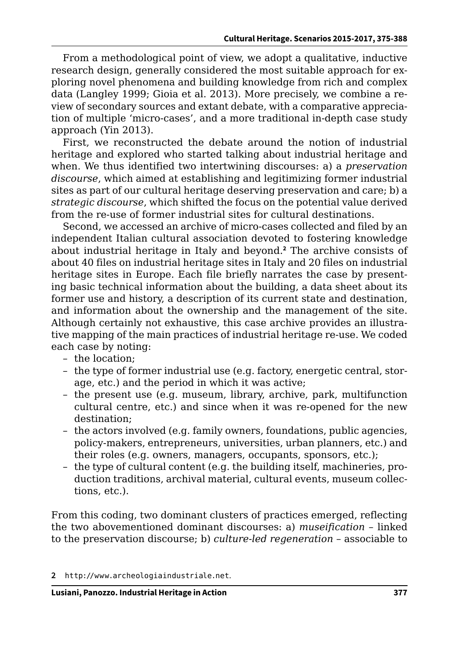From a methodological point of view, we adopt a qualitative, inductive research design, generally considered the most suitable approach for exploring novel phenomena and building knowledge from rich and complex data (Langley 1999; Gioia et al. 2013). More precisely, we combine a review of secondary sources and extant debate, with a comparative appreciation of multiple 'micro-cases', and a more traditional in-depth case study approach (Yin 2013).

First, we reconstructed the debate around the notion of industrial heritage and explored who started talking about industrial heritage and when. We thus identified two intertwining discourses: a) a *preservation discourse*, which aimed at establishing and legitimizing former industrial sites as part of our cultural heritage deserving preservation and care; b) a *strategic discourse*, which shifted the focus on the potential value derived from the re-use of former industrial sites for cultural destinations.

Second, we accessed an archive of micro-cases collected and filed by an independent Italian cultural association devoted to fostering knowledge about industrial heritage in Italy and beyond.**<sup>2</sup>** The archive consists of about 40 files on industrial heritage sites in Italy and 20 files on industrial heritage sites in Europe. Each file briefly narrates the case by presenting basic technical information about the building, a data sheet about its former use and history, a description of its current state and destination, and information about the ownership and the management of the site. Although certainly not exhaustive, this case archive provides an illustrative mapping of the main practices of industrial heritage re-use. We coded each case by noting:

- the location;
- the type of former industrial use (e.g. factory, energetic central, storage, etc.) and the period in which it was active;
- the present use (e.g. museum, library, archive, park, multifunction cultural centre, etc.) and since when it was re-opened for the new destination;
- the actors involved (e.g. family owners, foundations, public agencies, policy-makers, entrepreneurs, universities, urban planners, etc.) and their roles (e.g. owners, managers, occupants, sponsors, etc.);
- the type of cultural content (e.g. the building itself, machineries, production traditions, archival material, cultural events, museum collections, etc.).

From this coding, two dominant clusters of practices emerged, reflecting the two abovementioned dominant discourses: a) *museification* – linked to the preservation discourse; b) *culture-led regeneration* – associable to

**<sup>2</sup>** h[ttp://www.archeologiaindustriale.net](Http://www.archeologiaindustriale.net).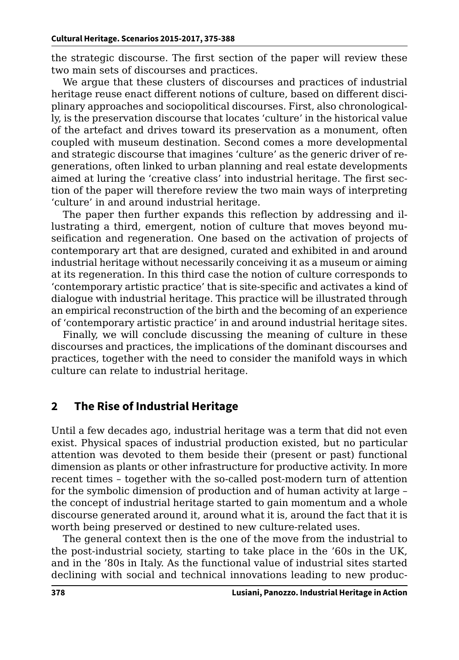the strategic discourse. The first section of the paper will review these two main sets of discourses and practices.

We argue that these clusters of discourses and practices of industrial heritage reuse enact different notions of culture, based on different disciplinary approaches and sociopolitical discourses. First, also chronologically, is the preservation discourse that locates 'culture' in the historical value of the artefact and drives toward its preservation as a monument, often coupled with museum destination. Second comes a more developmental and strategic discourse that imagines 'culture' as the generic driver of regenerations, often linked to urban planning and real estate developments aimed at luring the 'creative class' into industrial heritage. The first section of the paper will therefore review the two main ways of interpreting 'culture' in and around industrial heritage.

The paper then further expands this reflection by addressing and illustrating a third, emergent, notion of culture that moves beyond museification and regeneration. One based on the activation of projects of contemporary art that are designed, curated and exhibited in and around industrial heritage without necessarily conceiving it as a museum or aiming at its regeneration. In this third case the notion of culture corresponds to 'contemporary artistic practice' that is site-specific and activates a kind of dialogue with industrial heritage. This practice will be illustrated through an empirical reconstruction of the birth and the becoming of an experience of 'contemporary artistic practice' in and around industrial heritage sites.

Finally, we will conclude discussing the meaning of culture in these discourses and practices, the implications of the dominant discourses and practices, together with the need to consider the manifold ways in which culture can relate to industrial heritage.

#### **2 The Rise of Industrial Heritage**

Until a few decades ago, industrial heritage was a term that did not even exist. Physical spaces of industrial production existed, but no particular attention was devoted to them beside their (present or past) functional dimension as plants or other infrastructure for productive activity. In more recent times – together with the so-called post-modern turn of attention for the symbolic dimension of production and of human activity at large – the concept of industrial heritage started to gain momentum and a whole discourse generated around it, around what it is, around the fact that it is worth being preserved or destined to new culture-related uses.

The general context then is the one of the move from the industrial to the post-industrial society, starting to take place in the '60s in the UK, and in the '80s in Italy. As the functional value of industrial sites started declining with social and technical innovations leading to new produc-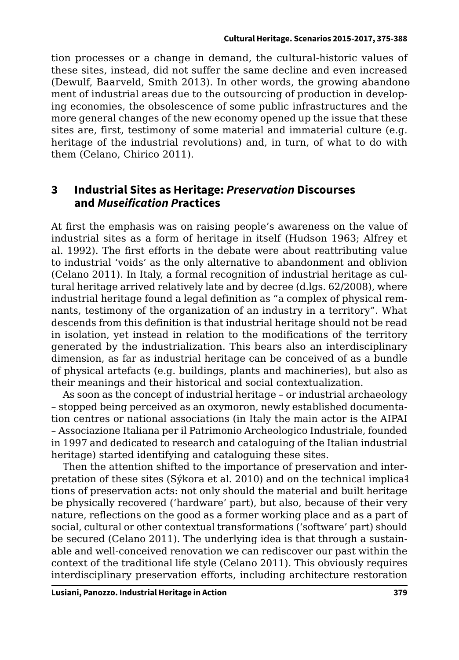tion processes or a change in demand, the cultural-historic values of these sites, instead, did not suffer the same decline and even increased (Dewulf, Baarveld, Smith 2013). In other words, the growing abandonoment of industrial areas due to the outsourcing of production in developing economies, the obsolescence of some public infrastructures and the more general changes of the new economy opened up the issue that these sites are, first, testimony of some material and immaterial culture (e.g. heritage of the industrial revolutions) and, in turn, of what to do with them (Celano, Chirico 2011).

#### **3 Industrial Sites as Heritage:** *Preservation* **Discourses and** *Museification P***ractices**

At first the emphasis was on raising people's awareness on the value of industrial sites as a form of heritage in itself (Hudson 1963; Alfrey et al. 1992). The first efforts in the debate were about reattributing value to industrial 'voids' as the only alternative to abandonment and oblivion (Celano 2011). In Italy, a formal recognition of industrial heritage as cultural heritage arrived relatively late and by decree (d.lgs. 62/2008), where industrial heritage found a legal definition as "a complex of physical remnants, testimony of the organization of an industry in a territory". What descends from this definition is that industrial heritage should not be read in isolation, yet instead in relation to the modifications of the territory generated by the industrialization. This bears also an interdisciplinary dimension, as far as industrial heritage can be conceived of as a bundle of physical artefacts (e.g. buildings, plants and machineries), but also as their meanings and their historical and social contextualization.

As soon as the concept of industrial heritage – or industrial archaeology – stopped being perceived as an oxymoron, newly established documentation centres or national associations (in Italy the main actor is the AIPAI – Associazione Italiana per il Patrimonio Archeologico Industriale, founded in 1997 and dedicated to research and cataloguing of the Italian industrial heritage) started identifying and cataloguing these sites.

Then the attention shifted to the importance of preservation and interpretation of these sites (Sýkora et al. 2010) and on the technical implica1 tions of preservation acts: not only should the material and built heritage be physically recovered ('hardware' part), but also, because of their very nature, reflections on the good as a former working place and as a part of social, cultural or other contextual transformations ('software' part) should be secured (Celano 2011). The underlying idea is that through a sustainable and well-conceived renovation we can rediscover our past within the context of the traditional life style (Celano 2011). This obviously requires interdisciplinary preservation efforts, including architecture restoration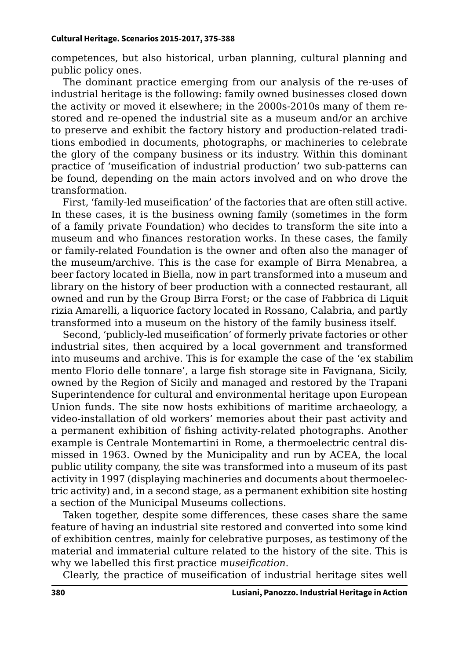competences, but also historical, urban planning, cultural planning and public policy ones.

The dominant practice emerging from our analysis of the re-uses of industrial heritage is the following: family owned businesses closed down the activity or moved it elsewhere; in the 2000s-2010s many of them restored and re-opened the industrial site as a museum and/or an archive to preserve and exhibit the factory history and production-related traditions embodied in documents, photographs, or machineries to celebrate the glory of the company business or its industry. Within this dominant practice of 'museification of industrial production' two sub-patterns can be found, depending on the main actors involved and on who drove the transformation.

First, 'family-led museification' of the factories that are often still active. In these cases, it is the business owning family (sometimes in the form of a family private Foundation) who decides to transform the site into a museum and who finances restoration works. In these cases, the family or family-related Foundation is the owner and often also the manager of the museum/archive. This is the case for example of Birra Menabrea, a beer factory located in Biella, now in part transformed into a museum and library on the history of beer production with a connected restaurant, all owned and run by the Group Birra Forst; or the case of Fabbrica di Liquit rizia Amarelli, a liquorice factory located in Rossano, Calabria, and partly transformed into a museum on the history of the family business itself.

Second, 'publicly-led museification' of formerly private factories or other industrial sites, then acquired by a local government and transformed into museums and archive. This is for example the case of the 'ex stabilim mento Florio delle tonnare', a large fish storage site in Favignana, Sicily, owned by the Region of Sicily and managed and restored by the Trapani Superintendence for cultural and environmental heritage upon European Union funds. The site now hosts exhibitions of maritime archaeology, a video-installation of old workers' memories about their past activity and a permanent exhibition of fishing activity-related photographs. Another example is Centrale Montemartini in Rome, a thermoelectric central dismissed in 1963. Owned by the Municipality and run by ACEA, the local public utility company, the site was transformed into a museum of its past activity in 1997 (displaying machineries and documents about thermoelectric activity) and, in a second stage, as a permanent exhibition site hosting a section of the Municipal Museums collections.

Taken together, despite some differences, these cases share the same feature of having an industrial site restored and converted into some kind of exhibition centres, mainly for celebrative purposes, as testimony of the material and immaterial culture related to the history of the site. This is why we labelled this first practice *museification*.

Clearly, the practice of museification of industrial heritage sites well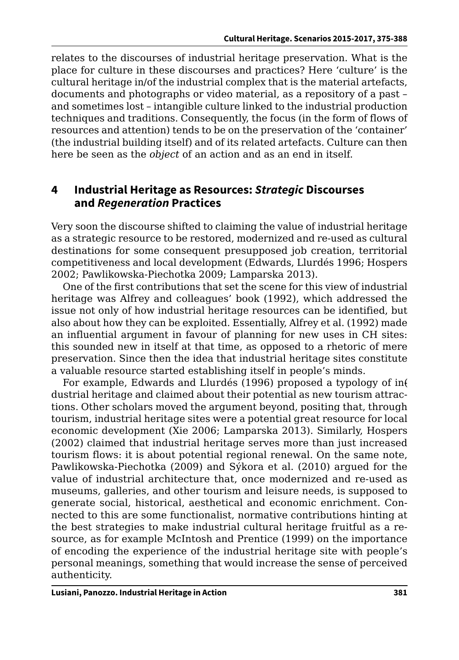relates to the discourses of industrial heritage preservation. What is the place for culture in these discourses and practices? Here 'culture' is the cultural heritage in/of the industrial complex that is the material artefacts, documents and photographs or video material, as a repository of a past – and sometimes lost – intangible culture linked to the industrial production techniques and traditions. Consequently, the focus (in the form of flows of resources and attention) tends to be on the preservation of the 'container' (the industrial building itself) and of its related artefacts. Culture can then here be seen as the *object* of an action and as an end in itself.

#### **4 Industrial Heritage as Resources:** *Strategic* **Discourses and** *Regeneration* **Practices**

Very soon the discourse shifted to claiming the value of industrial heritage as a strategic resource to be restored, modernized and re-used as cultural destinations for some consequent presupposed job creation, territorial competitiveness and local development (Edwards, Llurdés 1996; Hospers 2002; Pawlikowska-Piechotka 2009; Lamparska 2013).

One of the first contributions that set the scene for this view of industrial heritage was Alfrey and colleagues' book (1992), which addressed the issue not only of how industrial heritage resources can be identified, but also about how they can be exploited. Essentially, Alfrey et al. (1992) made an influential argument in favour of planning for new uses in CH sites: this sounded new in itself at that time, as opposed to a rhetoric of mere preservation. Since then the idea that industrial heritage sites constitute a valuable resource started establishing itself in people's minds.

For example, Edwards and Llurdés (1996) proposed a typology of in( dustrial heritage and claimed about their potential as new tourism attractions. Other scholars moved the argument beyond, positing that, through tourism, industrial heritage sites were a potential great resource for local economic development (Xie 2006; Lamparska 2013). Similarly, Hospers (2002) claimed that industrial heritage serves more than just increased tourism flows: it is about potential regional renewal. On the same note, Pawlikowska-Piechotka (2009) and Sýkora et al. (2010) argued for the value of industrial architecture that, once modernized and re-used as museums, galleries, and other tourism and leisure needs, is supposed to generate social, historical, aesthetical and economic enrichment. Connected to this are some functionalist, normative contributions hinting at the best strategies to make industrial cultural heritage fruitful as a resource, as for example McIntosh and Prentice (1999) on the importance of encoding the experience of the industrial heritage site with people's personal meanings, something that would increase the sense of perceived authenticity.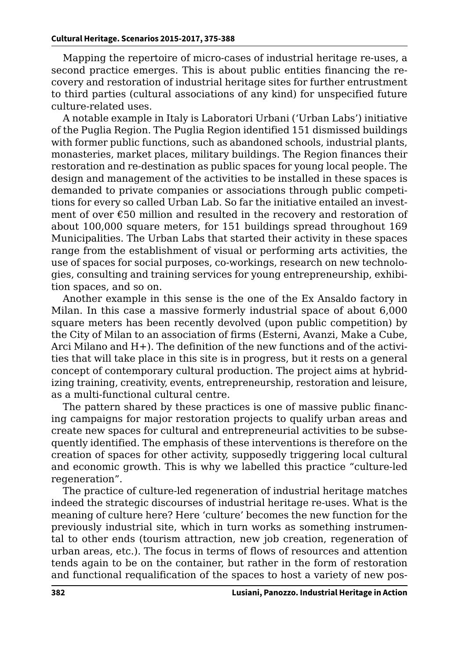Mapping the repertoire of micro-cases of industrial heritage re-uses, a second practice emerges. This is about public entities financing the recovery and restoration of industrial heritage sites for further entrustment to third parties (cultural associations of any kind) for unspecified future culture-related uses.

A notable example in Italy is Laboratori Urbani ('Urban Labs') initiative of the Puglia Region. The Puglia Region identified 151 dismissed buildings with former public functions, such as abandoned schools, industrial plants, monasteries, market places, military buildings. The Region finances their restoration and re-destination as public spaces for young local people. The design and management of the activities to be installed in these spaces is demanded to private companies or associations through public competitions for every so called Urban Lab. So far the initiative entailed an investment of over €50 million and resulted in the recovery and restoration of about 100,000 square meters, for 151 buildings spread throughout 169 Municipalities. The Urban Labs that started their activity in these spaces range from the establishment of visual or performing arts activities, the use of spaces for social purposes, co-workings, research on new technologies, consulting and training services for young entrepreneurship, exhibition spaces, and so on.

Another example in this sense is the one of the Ex Ansaldo factory in Milan. In this case a massive formerly industrial space of about 6,000 square meters has been recently devolved (upon public competition) by the City of Milan to an association of firms (Esterni, Avanzi, Make a Cube, Arci Milano and H+). The definition of the new functions and of the activities that will take place in this site is in progress, but it rests on a general concept of contemporary cultural production. The project aims at hybridizing training, creativity, events, entrepreneurship, restoration and leisure, as a multi-functional cultural centre.

The pattern shared by these practices is one of massive public financing campaigns for major restoration projects to qualify urban areas and create new spaces for cultural and entrepreneurial activities to be subsequently identified. The emphasis of these interventions is therefore on the creation of spaces for other activity, supposedly triggering local cultural and economic growth. This is why we labelled this practice "culture-led regeneration".

The practice of culture-led regeneration of industrial heritage matches indeed the strategic discourses of industrial heritage re-uses. What is the meaning of culture here? Here 'culture' becomes the new function for the previously industrial site, which in turn works as something instrumental to other ends (tourism attraction, new job creation, regeneration of urban areas, etc.). The focus in terms of flows of resources and attention tends again to be on the container, but rather in the form of restoration and functional requalification of the spaces to host a variety of new pos-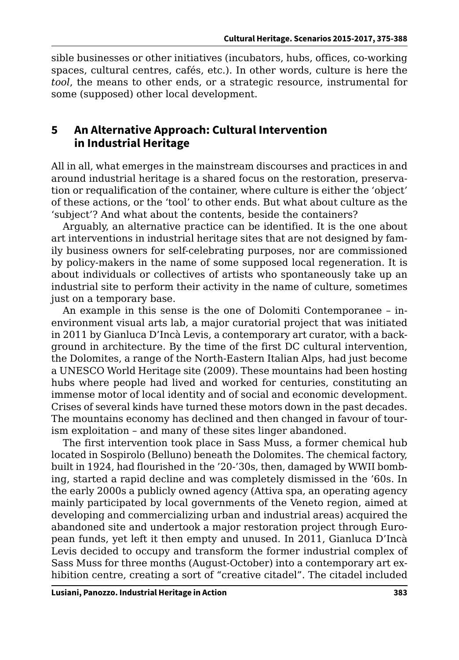sible businesses or other initiatives (incubators, hubs, offices, co-working spaces, cultural centres, cafés, etc.). In other words, culture is here the *tool*, the means to other ends, or a strategic resource, instrumental for some (supposed) other local development.

### **5 An Alternative Approach: Cultural Intervention in Industrial Heritage**

All in all, what emerges in the mainstream discourses and practices in and around industrial heritage is a shared focus on the restoration, preservation or requalification of the container, where culture is either the 'object' of these actions, or the 'tool' to other ends. But what about culture as the 'subject'? And what about the contents, beside the containers?

Arguably, an alternative practice can be identified. It is the one about art interventions in industrial heritage sites that are not designed by family business owners for self-celebrating purposes, nor are commissioned by policy-makers in the name of some supposed local regeneration. It is about individuals or collectives of artists who spontaneously take up an industrial site to perform their activity in the name of culture, sometimes just on a temporary base.

An example in this sense is the one of Dolomiti Contemporanee – inenvironment visual arts lab, a major curatorial project that was initiated in 2011 by Gianluca D'Incà Levis, a contemporary art curator, with a background in architecture. By the time of the first DC cultural intervention, the Dolomites, a range of the North-Eastern Italian Alps, had just become a UNESCO World Heritage site (2009). These mountains had been hosting hubs where people had lived and worked for centuries, constituting an immense motor of local identity and of social and economic development. Crises of several kinds have turned these motors down in the past decades. The mountains economy has declined and then changed in favour of tourism exploitation – and many of these sites linger abandoned.

The first intervention took place in Sass Muss, a former chemical hub located in Sospirolo (Belluno) beneath the Dolomites. The chemical factory, built in 1924, had flourished in the '20-'30s, then, damaged by WWII bombing, started a rapid decline and was completely dismissed in the '60s. In the early 2000s a publicly owned agency (Attiva spa, an operating agency mainly participated by local governments of the Veneto region, aimed at developing and commercializing urban and industrial areas) acquired the abandoned site and undertook a major restoration project through European funds, yet left it then empty and unused. In 2011, Gianluca D'Incà Levis decided to occupy and transform the former industrial complex of Sass Muss for three months (August-October) into a contemporary art exhibition centre, creating a sort of "creative citadel". The citadel included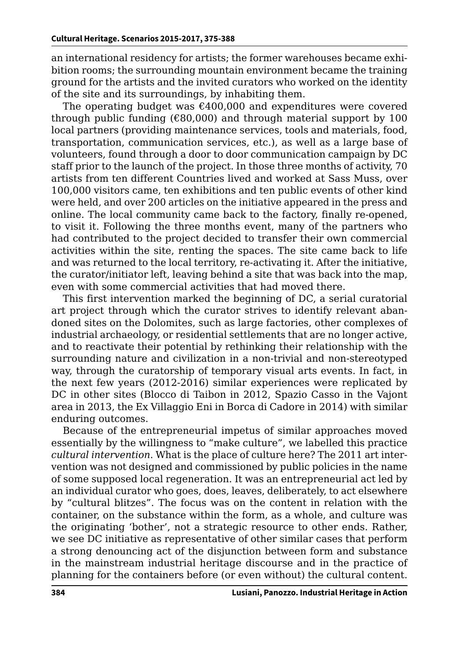an international residency for artists; the former warehouses became exhibition rooms; the surrounding mountain environment became the training ground for the artists and the invited curators who worked on the identity of the site and its surroundings, by inhabiting them.

The operating budget was  $\epsilon$ 400,000 and expenditures were covered through public funding ( $\epsilon$ 80,000) and through material support by 100 local partners (providing maintenance services, tools and materials, food, transportation, communication services, etc.), as well as a large base of volunteers, found through a door to door communication campaign by DC staff prior to the launch of the project. In those three months of activity, 70 artists from ten different Countries lived and worked at Sass Muss, over 100,000 visitors came, ten exhibitions and ten public events of other kind were held, and over 200 articles on the initiative appeared in the press and online. The local community came back to the factory, finally re-opened, to visit it. Following the three months event, many of the partners who had contributed to the project decided to transfer their own commercial activities within the site, renting the spaces. The site came back to life and was returned to the local territory, re-activating it. After the initiative, the curator/initiator left, leaving behind a site that was back into the map, even with some commercial activities that had moved there.

This first intervention marked the beginning of DC, a serial curatorial art project through which the curator strives to identify relevant abandoned sites on the Dolomites, such as large factories, other complexes of industrial archaeology, or residential settlements that are no longer active, and to reactivate their potential by rethinking their relationship with the surrounding nature and civilization in a non-trivial and non-stereotyped way, through the curatorship of temporary visual arts events. In fact, in the next few years (2012-2016) similar experiences were replicated by DC in other sites (Blocco di Taibon in 2012, Spazio Casso in the Vajont area in 2013, the Ex Villaggio Eni in Borca di Cadore in 2014) with similar enduring outcomes.

Because of the entrepreneurial impetus of similar approaches moved essentially by the willingness to "make culture", we labelled this practice *cultural intervention*. What is the place of culture here? The 2011 art intervention was not designed and commissioned by public policies in the name of some supposed local regeneration. It was an entrepreneurial act led by an individual curator who goes, does, leaves, deliberately, to act elsewhere by "cultural blitzes". The focus was on the content in relation with the container, on the substance within the form, as a whole, and culture was the originating 'bother', not a strategic resource to other ends. Rather, we see DC initiative as representative of other similar cases that perform a strong denouncing act of the disjunction between form and substance in the mainstream industrial heritage discourse and in the practice of planning for the containers before (or even without) the cultural content.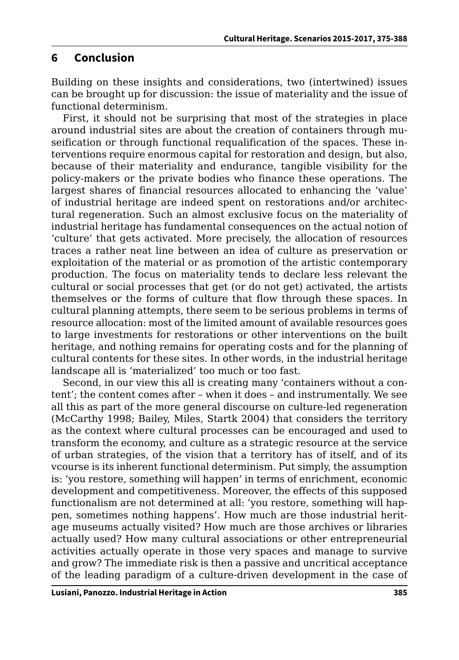### **6 Conclusion**

Building on these insights and considerations, two (intertwined) issues can be brought up for discussion: the issue of materiality and the issue of functional determinism.

First, it should not be surprising that most of the strategies in place around industrial sites are about the creation of containers through museification or through functional requalification of the spaces. These interventions require enormous capital for restoration and design, but also, because of their materiality and endurance, tangible visibility for the policy-makers or the private bodies who finance these operations. The largest shares of financial resources allocated to enhancing the 'value' of industrial heritage are indeed spent on restorations and/or architectural regeneration. Such an almost exclusive focus on the materiality of industrial heritage has fundamental consequences on the actual notion of 'culture' that gets activated. More precisely, the allocation of resources traces a rather neat line between an idea of culture as preservation or exploitation of the material or as promotion of the artistic contemporary production. The focus on materiality tends to declare less relevant the cultural or social processes that get (or do not get) activated, the artists themselves or the forms of culture that flow through these spaces. In cultural planning attempts, there seem to be serious problems in terms of resource allocation: most of the limited amount of available resources goes to large investments for restorations or other interventions on the built heritage, and nothing remains for operating costs and for the planning of cultural contents for these sites. In other words, in the industrial heritage landscape all is 'materialized' too much or too fast.

Second, in our view this all is creating many 'containers without a content'; the content comes after – when it does – and instrumentally. We see all this as part of the more general discourse on culture-led regeneration (McCarthy 1998; Bailey, Miles, Startk 2004) that considers the territory as the context where cultural processes can be encouraged and used to transform the economy, and culture as a strategic resource at the service of urban strategies, of the vision that a territory has of itself, and of its vcourse is its inherent functional determinism. Put simply, the assumption is: 'you restore, something will happen' in terms of enrichment, economic development and competitiveness. Moreover, the effects of this supposed functionalism are not determined at all: 'you restore, something will happen, sometimes nothing happens'. How much are those industrial heritage museums actually visited? How much are those archives or libraries actually used? How many cultural associations or other entrepreneurial activities actually operate in those very spaces and manage to survive and grow? The immediate risk is then a passive and uncritical acceptance of the leading paradigm of a culture-driven development in the case of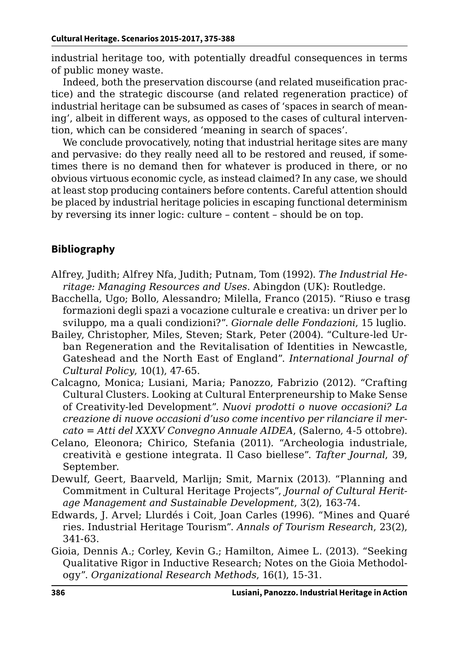industrial heritage too, with potentially dreadful consequences in terms of public money waste.

Indeed, both the preservation discourse (and related museification practice) and the strategic discourse (and related regeneration practice) of industrial heritage can be subsumed as cases of 'spaces in search of meaning', albeit in different ways, as opposed to the cases of cultural intervention, which can be considered 'meaning in search of spaces'.

We conclude provocatively, noting that industrial heritage sites are many and pervasive: do they really need all to be restored and reused, if sometimes there is no demand then for whatever is produced in there, or no obvious virtuous economic cycle, as instead claimed? In any case, we should at least stop producing containers before contents. Careful attention should be placed by industrial heritage policies in escaping functional determinism by reversing its inner logic: culture – content – should be on top.

#### **Bibliography**

- Alfrey, Judith; Alfrey Nfa, Judith; Putnam, Tom (1992). *The Industrial Heritage: Managing Resources and Uses*. Abingdon (UK): Routledge.
- Bacchella, Ugo; Bollo, Alessandro; Milella, Franco (2015). "Riuso e trasg formazioni degli spazi a vocazione culturale e creativa: un driver per lo sviluppo, ma a quali condizioni?". *Giornale delle Fondazioni*, 15 luglio.
- Bailey, Christopher, Miles, Steven; Stark, Peter (2004). "Culture‐led Urban Regeneration and the Revitalisation of Identities in Newcastle, Gateshead and the North East of England". *International Journal of Cultural Policy*, 10(1), 47-65.
- Calcagno, Monica; Lusiani, Maria; Panozzo, Fabrizio (2012). "Crafting Cultural Clusters. Looking at Cultural Enterpreneurship to Make Sense of Creativity-led Development". *Nuovi prodotti o nuove occasioni? La creazione di nuove occasioni d'uso come incentivo per rilanciare il mercato* = *Atti del XXXV Convegno Annuale AIDEA*, (Salerno, 4-5 ottobre).
- Celano, Eleonora; Chirico, Stefania (2011). "Archeologia industriale, creatività e gestione integrata. Il Caso biellese". *Tafter Journal*, 39, September.
- Dewulf, Geert, Baarveld, Marlijn; Smit, Marnix (2013). "Planning and Commitment in Cultural Heritage Projects", *Journal of Cultural Heritage Management and Sustainable Development*, 3(2), 163-74.
- Edwards, J. Arvel; Llurdés i Coit, Joan Carles (1996). "Mines and Quaré ries. Industrial Heritage Tourism". *Annals of Tourism Research*, 23(2), 341-63.
- Gioia, Dennis A.; Corley, Kevin G.; Hamilton, Aimee L. (2013). "Seeking Qualitative Rigor in Inductive Research; Notes on the Gioia Methodology". *Organizational Research Methods*, 16(1), 15-31.